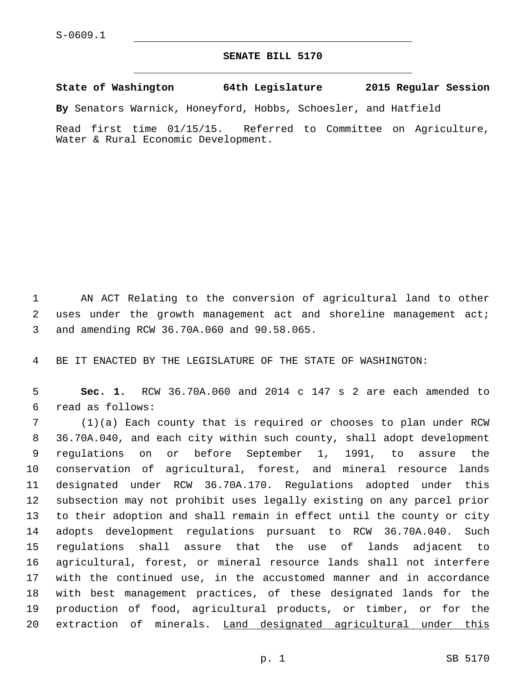## **SENATE BILL 5170**

**State of Washington 64th Legislature 2015 Regular Session**

**By** Senators Warnick, Honeyford, Hobbs, Schoesler, and Hatfield

Read first time 01/15/15. Referred to Committee on Agriculture, Water & Rural Economic Development.

1 AN ACT Relating to the conversion of agricultural land to other 2 uses under the growth management act and shoreline management act; 3 and amending RCW 36.70A.060 and 90.58.065.

4 BE IT ENACTED BY THE LEGISLATURE OF THE STATE OF WASHINGTON:

5 **Sec. 1.** RCW 36.70A.060 and 2014 c 147 s 2 are each amended to read as follows:6

 (1)(a) Each county that is required or chooses to plan under RCW 36.70A.040, and each city within such county, shall adopt development regulations on or before September 1, 1991, to assure the conservation of agricultural, forest, and mineral resource lands designated under RCW 36.70A.170. Regulations adopted under this subsection may not prohibit uses legally existing on any parcel prior to their adoption and shall remain in effect until the county or city adopts development regulations pursuant to RCW 36.70A.040. Such regulations shall assure that the use of lands adjacent to agricultural, forest, or mineral resource lands shall not interfere with the continued use, in the accustomed manner and in accordance with best management practices, of these designated lands for the production of food, agricultural products, or timber, or for the 20 extraction of minerals. Land designated agricultural under this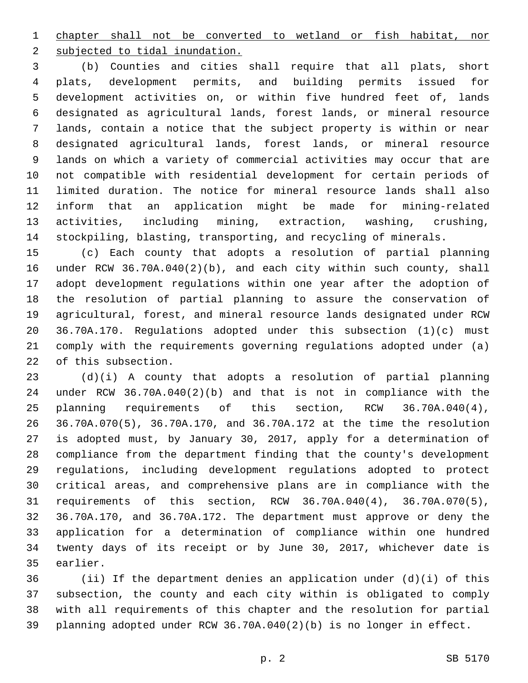chapter shall not be converted to wetland or fish habitat, nor 2 subjected to tidal inundation.

 (b) Counties and cities shall require that all plats, short plats, development permits, and building permits issued for development activities on, or within five hundred feet of, lands designated as agricultural lands, forest lands, or mineral resource lands, contain a notice that the subject property is within or near designated agricultural lands, forest lands, or mineral resource lands on which a variety of commercial activities may occur that are not compatible with residential development for certain periods of limited duration. The notice for mineral resource lands shall also inform that an application might be made for mining-related activities, including mining, extraction, washing, crushing, stockpiling, blasting, transporting, and recycling of minerals.

 (c) Each county that adopts a resolution of partial planning under RCW 36.70A.040(2)(b), and each city within such county, shall adopt development regulations within one year after the adoption of the resolution of partial planning to assure the conservation of agricultural, forest, and mineral resource lands designated under RCW 36.70A.170. Regulations adopted under this subsection (1)(c) must comply with the requirements governing regulations adopted under (a) 22 of this subsection.

 (d)(i) A county that adopts a resolution of partial planning under RCW 36.70A.040(2)(b) and that is not in compliance with the planning requirements of this section, RCW 36.70A.040(4), 36.70A.070(5), 36.70A.170, and 36.70A.172 at the time the resolution is adopted must, by January 30, 2017, apply for a determination of compliance from the department finding that the county's development regulations, including development regulations adopted to protect critical areas, and comprehensive plans are in compliance with the requirements of this section, RCW 36.70A.040(4), 36.70A.070(5), 36.70A.170, and 36.70A.172. The department must approve or deny the application for a determination of compliance within one hundred twenty days of its receipt or by June 30, 2017, whichever date is 35 earlier.

 (ii) If the department denies an application under (d)(i) of this subsection, the county and each city within is obligated to comply with all requirements of this chapter and the resolution for partial planning adopted under RCW 36.70A.040(2)(b) is no longer in effect.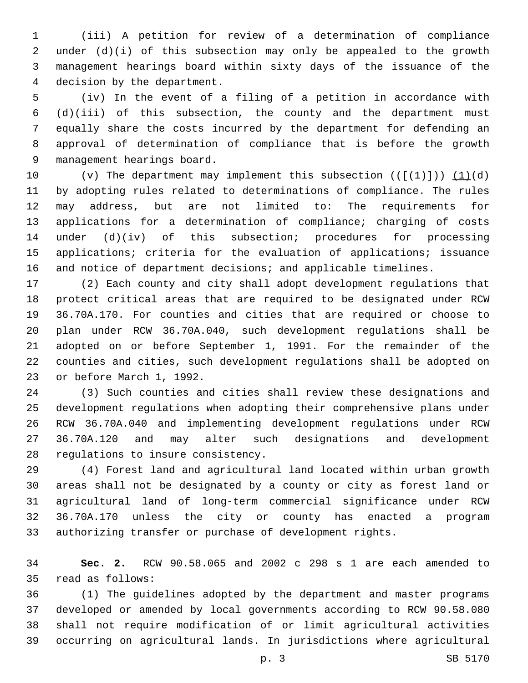(iii) A petition for review of a determination of compliance under (d)(i) of this subsection may only be appealed to the growth management hearings board within sixty days of the issuance of the 4 decision by the department.

 (iv) In the event of a filing of a petition in accordance with (d)(iii) of this subsection, the county and the department must equally share the costs incurred by the department for defending an approval of determination of compliance that is before the growth 9 management hearings board.

10 (v) The department may implement this subsection  $((\{+1\}))(1)(d)$  by adopting rules related to determinations of compliance. The rules may address, but are not limited to: The requirements for applications for a determination of compliance; charging of costs under (d)(iv) of this subsection; procedures for processing applications; criteria for the evaluation of applications; issuance and notice of department decisions; and applicable timelines.

 (2) Each county and city shall adopt development regulations that protect critical areas that are required to be designated under RCW 36.70A.170. For counties and cities that are required or choose to plan under RCW 36.70A.040, such development regulations shall be adopted on or before September 1, 1991. For the remainder of the counties and cities, such development regulations shall be adopted on 23 or before March 1, 1992.

 (3) Such counties and cities shall review these designations and development regulations when adopting their comprehensive plans under RCW 36.70A.040 and implementing development regulations under RCW 36.70A.120 and may alter such designations and development 28 regulations to insure consistency.

 (4) Forest land and agricultural land located within urban growth areas shall not be designated by a county or city as forest land or agricultural land of long-term commercial significance under RCW 36.70A.170 unless the city or county has enacted a program authorizing transfer or purchase of development rights.

 **Sec. 2.** RCW 90.58.065 and 2002 c 298 s 1 are each amended to 35 read as follows:

 (1) The guidelines adopted by the department and master programs developed or amended by local governments according to RCW 90.58.080 shall not require modification of or limit agricultural activities occurring on agricultural lands. In jurisdictions where agricultural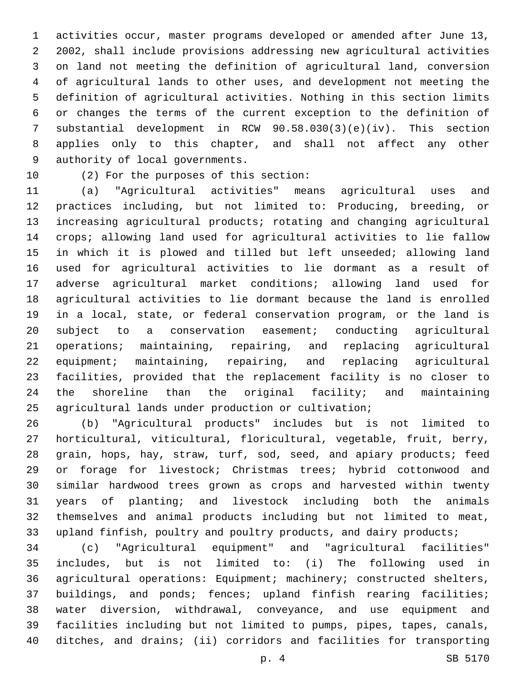activities occur, master programs developed or amended after June 13, 2002, shall include provisions addressing new agricultural activities on land not meeting the definition of agricultural land, conversion of agricultural lands to other uses, and development not meeting the definition of agricultural activities. Nothing in this section limits or changes the terms of the current exception to the definition of substantial development in RCW 90.58.030(3)(e)(iv). This section applies only to this chapter, and shall not affect any other 9 authority of local governments.

10 (2) For the purposes of this section:

 (a) "Agricultural activities" means agricultural uses and practices including, but not limited to: Producing, breeding, or increasing agricultural products; rotating and changing agricultural crops; allowing land used for agricultural activities to lie fallow in which it is plowed and tilled but left unseeded; allowing land used for agricultural activities to lie dormant as a result of adverse agricultural market conditions; allowing land used for agricultural activities to lie dormant because the land is enrolled in a local, state, or federal conservation program, or the land is subject to a conservation easement; conducting agricultural operations; maintaining, repairing, and replacing agricultural equipment; maintaining, repairing, and replacing agricultural facilities, provided that the replacement facility is no closer to the shoreline than the original facility; and maintaining agricultural lands under production or cultivation;

 (b) "Agricultural products" includes but is not limited to horticultural, viticultural, floricultural, vegetable, fruit, berry, grain, hops, hay, straw, turf, sod, seed, and apiary products; feed or forage for livestock; Christmas trees; hybrid cottonwood and similar hardwood trees grown as crops and harvested within twenty years of planting; and livestock including both the animals themselves and animal products including but not limited to meat, 33 upland finfish, poultry and poultry products, and dairy products;

 (c) "Agricultural equipment" and "agricultural facilities" includes, but is not limited to: (i) The following used in agricultural operations: Equipment; machinery; constructed shelters, buildings, and ponds; fences; upland finfish rearing facilities; water diversion, withdrawal, conveyance, and use equipment and facilities including but not limited to pumps, pipes, tapes, canals, ditches, and drains; (ii) corridors and facilities for transporting